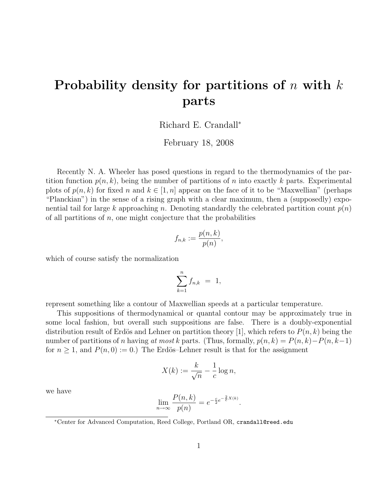## Probability density for partitions of  $n$  with  $k$ parts

Richard E. Crandall<sup>∗</sup>

February 18, 2008

Recently N. A. Wheeler has posed questions in regard to the thermodynamics of the partition function  $p(n, k)$ , being the number of partitions of n into exactly k parts. Experimental plots of  $p(n, k)$  for fixed n and  $k \in [1, n]$  appear on the face of it to be "Maxwellian" (perhaps "Planckian") in the sense of a rising graph with a clear maximum, then a (supposedly) exponential tail for large k approaching n. Denoting standardly the celebrated partition count  $p(n)$ of all partitions of  $n$ , one might conjecture that the probabilities

$$
f_{n,k} := \frac{p(n,k)}{p(n)},
$$

which of course satisfy the normalization

$$
\sum_{k=1}^n f_{n,k} = 1,
$$

represent something like a contour of Maxwellian speeds at a particular temperature.

This suppositions of thermodynamical or quantal contour may be approximately true in some local fashion, but overall such suppositions are false. There is a doubly-exponential distribution result of Erdös and Lehner on partition theory [1], which refers to  $P(n, k)$  being the number of partitions of n having at most k parts. (Thus, formally,  $p(n, k) = P(n, k) - P(n, k-1)$ ) for  $n \geq 1$ , and  $P(n, 0) := 0$ .) The Erdös–Lehner result is that for the assignment

$$
X(k) := \frac{k}{\sqrt{n}} - \frac{1}{c} \log n,
$$

we have

$$
\lim_{n \to \infty} \frac{P(n,k)}{p(n)} = e^{-\frac{c}{2}e^{-\frac{2}{c}X(k)}}
$$

.

<sup>∗</sup>Center for Advanced Computation, Reed College, Portland OR, crandall@reed.edu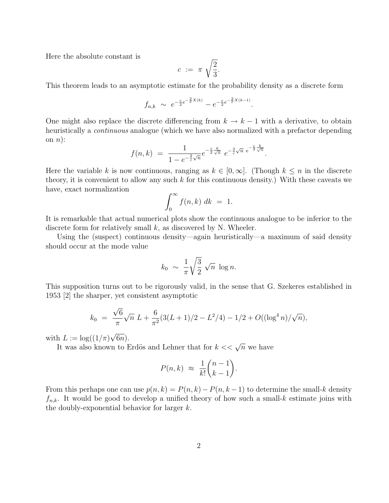Here the absolute constant is

$$
c := \pi \sqrt{\frac{2}{3}}.
$$

This theorem leads to an asymptotic estimate for the probability density as a discrete form

$$
f_{n,k} \sim e^{-\frac{c}{2}e^{-\frac{2}{c}X(k)}} - e^{-\frac{c}{2}e^{-\frac{2}{c}X(k-1)}}.
$$

One might also replace the discrete differencing from  $k \to k-1$  with a derivative, to obtain heuristically a *continuous* analogue (which we have also normalized with a prefactor depending on  $n$ :

$$
f(n,k) = \frac{1}{1 - e^{-\frac{2}{c}\sqrt{n}}} e^{-\frac{c}{2}\frac{k}{\sqrt{n}}} e^{-\frac{2}{c}\sqrt{n}} e^{-\frac{c}{2}\frac{k}{\sqrt{n}}}.
$$

Here the variable k is now continuous, ranging as  $k \in [0,\infty]$ . (Though  $k \leq n$  in the discrete theory, it is convenient to allow any such  $k$  for this continuous density.) With these caveats we have, exact normalization

$$
\int_0^\infty f(n,k) \; dk \; = \; 1.
$$

It is remarkable that actual numerical plots show the continuous analogue to be inferior to the discrete form for relatively small  $k$ , as discovered by N. Wheeler.

Using the (suspect) continuous density—again heuristically—a maximum of said density should occur at the mode value

$$
k_0 \sim \frac{1}{\pi} \sqrt{\frac{3}{2}} \sqrt{n} \log n.
$$

This supposition turns out to be rigorously valid, in the sense that G. Szekeres established in 1953 [2] the sharper, yet consistent asymptotic

$$
k_0 = \frac{\sqrt{6}}{\pi} \sqrt{n} L + \frac{6}{\pi^2} (3(L+1)/2 - L^2/4) - 1/2 + O((\log^4 n)/\sqrt{n}),
$$

with  $L := \log((1/\pi))$ √ 6n).

It was also known to Erdös and Lehner that for  $k << \sqrt{n}$  we have

$$
P(n,k) \approx \frac{1}{k!} \binom{n-1}{k-1}.
$$

From this perhaps one can use  $p(n, k) = P(n, k) - P(n, k - 1)$  to determine the small-k density  $f_{n,k}$ . It would be good to develop a unified theory of how such a small-k estimate joins with the doubly-exponential behavior for larger  $k$ .